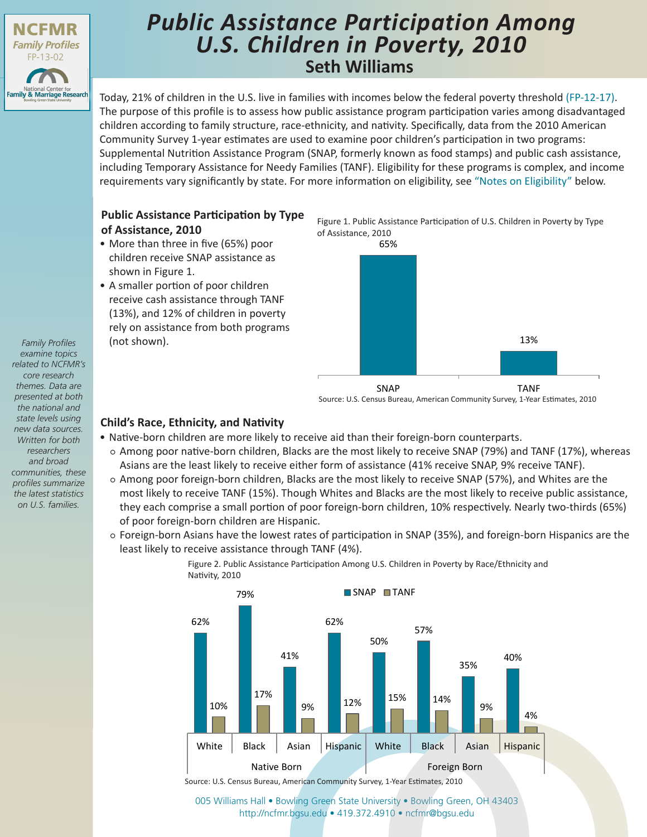

# **Seth Williams** *Public Assistance Participation Among U.S. Children in Poverty, 2010*

Today, 21% of children in the U.S. live in families with incomes below the federal poverty threshold [\(FP-12-17\).](http://www.bgsu.edu/content/dam/BGSU/college-of-arts-and-sciences/NCFMR/documents/FP/FP-12-17.pdf) The purpose of this profile is to assess how public assistance program participation varies among disadvantaged children according to family structure, race-ethnicity, and nativity. Specifically, data from the 2010 American Community Survey 1-year estimates are used to examine poor children's participation in two programs: Supplemental Nutrition Assistance Program (SNAP, formerly known as food stamps) and public cash assistance, including Temporary Assistance for Needy Families (TANF). Eligibility for these programs is complex, and income requirements vary significantly by state. For more information on eligibility, see ["Notes on Eligibility"](#page-1-0) below.

## **Public Assistance Participation by Type of Assistance, 2010**

- More than three in five (65%) poor children receive SNAP assistance as shown in Figure 1.
- A smaller portion of poor children receive cash assistance through TANF (13%), and 12% of children in poverty rely on assistance from both programs (not shown).

Figure 1. Public Assistance Participation of U.S. Children in Poverty by Type of Assistance, 2010



Source: U.S. Census Bureau, American Community Survey, 1-Year Estimates, 2010

## **Child's Race, Ethnicity, and Nativity**

- Native-born children are more likely to receive aid than their foreign-born counterparts.
	- Among poor native-born children, Blacks are the most likely to receive SNAP (79%) and TANF (17%), whereas Asians are the least likely to receive either form of assistance (41% receive SNAP, 9% receive TANF).
	- Among poor foreign-born children, Blacks are the most likely to receive SNAP (57%), and Whites are the most likely to receive TANF (15%). Though Whites and Blacks are the most likely to receive public assistance, they each comprise a small portion of poor foreign-born children, 10% respectively. Nearly two-thirds (65%) of poor foreign-born children are Hispanic.
		- Foreign-born Asians have the lowest rates of participation in SNAP (35%), and foreign-born Hispanics are the least likely to receive assistance through TANF (4%).



Figure 2. Public Assistance Participation Among U.S. Children in Poverty by Race/Ethnicity and Nativity, 2010

[005 Williams Hall • Bowling Green State University • Bowling Green, OH 43403](http://www.bgsu.edu/ncfmr.html) http://ncfmr.bgsu.edu • 419.372.4910 • ncfmr@bgsu.edu

*Family Profiles examine topics related to NCFMR's core research themes. Data are presented at both the national and state levels using new data sources. Written for both researchers and broad communities, these profiles summarize the latest statistics on U.S. families.*